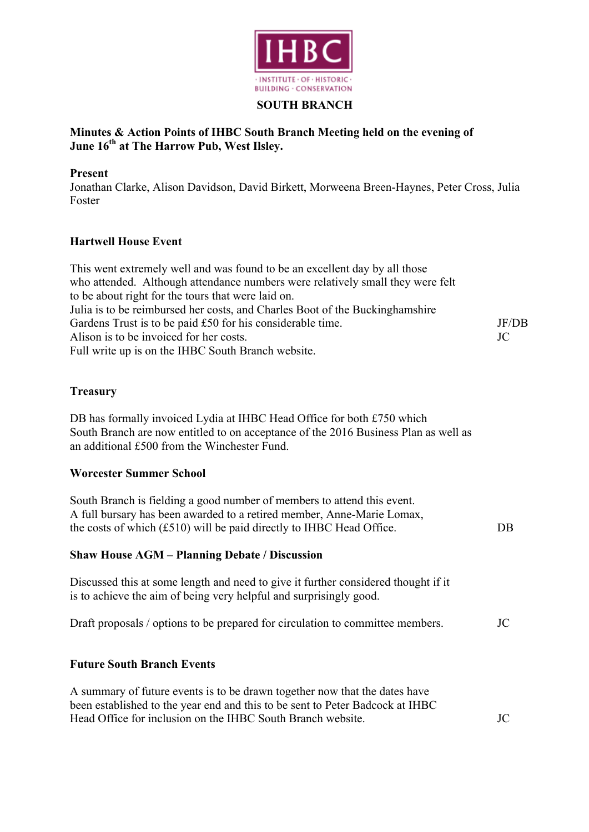

### **SOUTH BRANCH**

# **Minutes & Action Points of IHBC South Branch Meeting held on the evening of June 16th at The Harrow Pub, West Ilsley.**

### **Present**

Jonathan Clarke, Alison Davidson, David Birkett, Morweena Breen-Haynes, Peter Cross, Julia Foster

# **Hartwell House Event**

| This went extremely well and was found to be an excellent day by all those     |       |
|--------------------------------------------------------------------------------|-------|
| who attended. Although attendance numbers were relatively small they were felt |       |
| to be about right for the tours that were laid on.                             |       |
| Julia is to be reimbursed her costs, and Charles Boot of the Buckinghamshire   |       |
| Gardens Trust is to be paid £50 for his considerable time.                     | JF/DB |
| Alison is to be invoiced for her costs.                                        | JC    |
| Full write up is on the IHBC South Branch website.                             |       |

#### **Treasury**

DB has formally invoiced Lydia at IHBC Head Office for both £750 which South Branch are now entitled to on acceptance of the 2016 Business Plan as well as an additional £500 from the Winchester Fund.

#### **Worcester Summer School**

| South Branch is fielding a good number of members to attend this event. |    |
|-------------------------------------------------------------------------|----|
| A full bursary has been awarded to a retired member, Anne-Marie Lomax,  |    |
| the costs of which (£510) will be paid directly to IHBC Head Office.    | DB |
|                                                                         |    |

# **Shaw House AGM – Planning Debate / Discussion**

Discussed this at some length and need to give it further considered thought if it is to achieve the aim of being very helpful and surprisingly good.

|  |  |  |  |  | Draft proposals / options to be prepared for circulation to committee members. | JC |
|--|--|--|--|--|--------------------------------------------------------------------------------|----|
|--|--|--|--|--|--------------------------------------------------------------------------------|----|

# **Future South Branch Events**

A summary of future events is to be drawn together now that the dates have been established to the year end and this to be sent to Peter Badcock at IHBC Head Office for inclusion on the IHBC South Branch website. JC